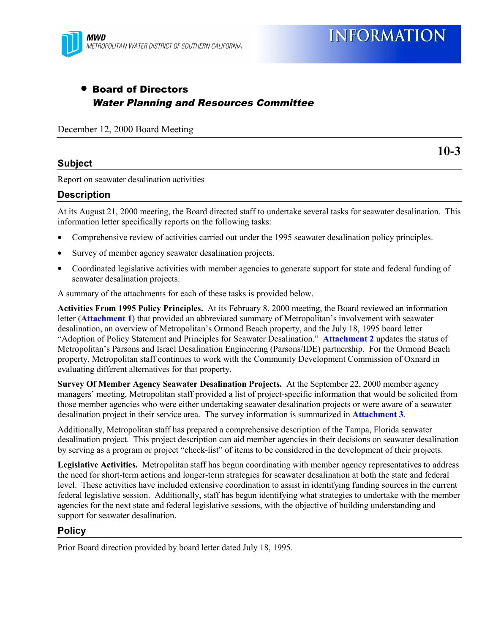

**INFORMATION** 

# • Board of Directors Water Planning and Resources Committee

December 12, 2000 Board Meeting

### **Subject**

**10-3**

Report on seawater desalination activities

#### **Description**

At its August 21, 2000 meeting, the Board directed staff to undertake several tasks for seawater desalination. This information letter specifically reports on the following tasks:

- Comprehensive review of activities carried out under the 1995 seawater desalination policy principles.
- Survey of member agency seawater desalination projects.
- Coordinated legislative activities with member agencies to generate support for state and federal funding of seawater desalination projects.

A summary of the attachments for each of these tasks is provided below.

**Activities From 1995 Policy Principles.** At its February 8, 2000 meeting, the Board reviewed an information letter (**Attachment 1**) that provided an abbreviated summary of Metropolitan's involvement with seawater desalination, an overview of Metropolitan's Ormond Beach property, and the July 18, 1995 board letter "Adoption of Policy Statement and Principles for Seawater Desalination." **Attachment 2** updates the status of Metropolitan's Parsons and Israel Desalination Engineering (Parsons/IDE) partnership. For the Ormond Beach property, Metropolitan staff continues to work with the Community Development Commission of Oxnard in evaluating different alternatives for that property.

**Survey Of Member Agency Seawater Desalination Projects.** At the September 22, 2000 member agency managers' meeting, Metropolitan staff provided a list of project-specific information that would be solicited from those member agencies who were either undertaking seawater desalination projects or were aware of a seawater desalination project in their service area. The survey information is summarized in **Attachment 3**.

Additionally, Metropolitan staff has prepared a comprehensive description of the Tampa, Florida seawater desalination project. This project description can aid member agencies in their decisions on seawater desalination by serving as a program or project "check-list" of items to be considered in the development of their projects.

**Legislative Activities.** Metropolitan staff has begun coordinating with member agency representatives to address the need for short-term actions and longer-term strategies for seawater desalination at both the state and federal level. These activities have included extensive coordination to assist in identifying funding sources in the current federal legislative session. Additionally, staff has begun identifying what strategies to undertake with the member agencies for the next state and federal legislative sessions, with the objective of building understanding and support for seawater desalination.

#### **Policy**

Prior Board direction provided by board letter dated July 18, 1995.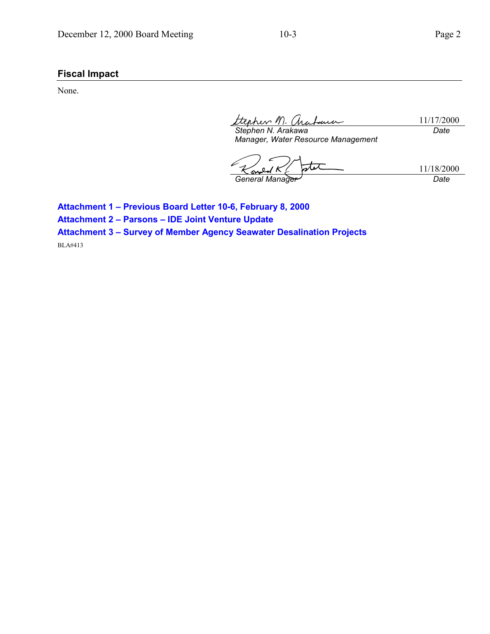## **Fiscal Impact**

None.

ohen M. 11/17/2000 *Stephen N. Arakawa Date*

*Manager, Water Resource Management*

stet 11/18/2000 *General Manager Date*

**Attachment 1 – Previous Board Letter 10-6, February 8, 2000 Attachment 2 – Parsons – IDE Joint Venture Update Attachment 3 – Survey of Member Agency Seawater Desalination Projects** BLA#413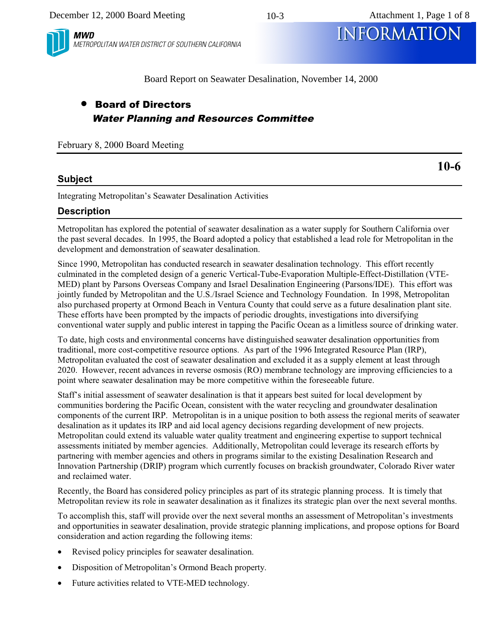10-3



METROPOLITAN WATER DISTRICT OF SOUTHERN CALIFORNIA *MWD* INFORMATION

Board Report on Seawater Desalination, November 14, 2000

# • Board of Directors Water Planning and Resources Committee

February 8, 2000 Board Meeting

## **Subject**

Integrating Metropolitan's Seawater Desalination Activities

## **Description**

Metropolitan has explored the potential of seawater desalination as a water supply for Southern California over the past several decades. In 1995, the Board adopted a policy that established a lead role for Metropolitan in the development and demonstration of seawater desalination.

Since 1990, Metropolitan has conducted research in seawater desalination technology. This effort recently culminated in the completed design of a generic Vertical-Tube-Evaporation Multiple-Effect-Distillation (VTE-MED) plant by Parsons Overseas Company and Israel Desalination Engineering (Parsons/IDE). This effort was jointly funded by Metropolitan and the U.S./Israel Science and Technology Foundation. In 1998, Metropolitan also purchased property at Ormond Beach in Ventura County that could serve as a future desalination plant site. These efforts have been prompted by the impacts of periodic droughts, investigations into diversifying conventional water supply and public interest in tapping the Pacific Ocean as a limitless source of drinking water.

To date, high costs and environmental concerns have distinguished seawater desalination opportunities from traditional, more cost-competitive resource options. As part of the 1996 Integrated Resource Plan (IRP), Metropolitan evaluated the cost of seawater desalination and excluded it as a supply element at least through 2020. However, recent advances in reverse osmosis (RO) membrane technology are improving efficiencies to a point where seawater desalination may be more competitive within the foreseeable future.

Staff's initial assessment of seawater desalination is that it appears best suited for local development by communities bordering the Pacific Ocean, consistent with the water recycling and groundwater desalination components of the current IRP. Metropolitan is in a unique position to both assess the regional merits of seawater desalination as it updates its IRP and aid local agency decisions regarding development of new projects. Metropolitan could extend its valuable water quality treatment and engineering expertise to support technical assessments initiated by member agencies. Additionally, Metropolitan could leverage its research efforts by partnering with member agencies and others in programs similar to the existing Desalination Research and Innovation Partnership (DRIP) program which currently focuses on brackish groundwater, Colorado River water and reclaimed water.

Recently, the Board has considered policy principles as part of its strategic planning process. It is timely that Metropolitan review its role in seawater desalination as it finalizes its strategic plan over the next several months.

To accomplish this, staff will provide over the next several months an assessment of Metropolitan's investments and opportunities in seawater desalination, provide strategic planning implications, and propose options for Board consideration and action regarding the following items:

- Revised policy principles for seawater desalination.
- Disposition of Metropolitan's Ormond Beach property.
- Future activities related to VTE-MED technology.

**10-6**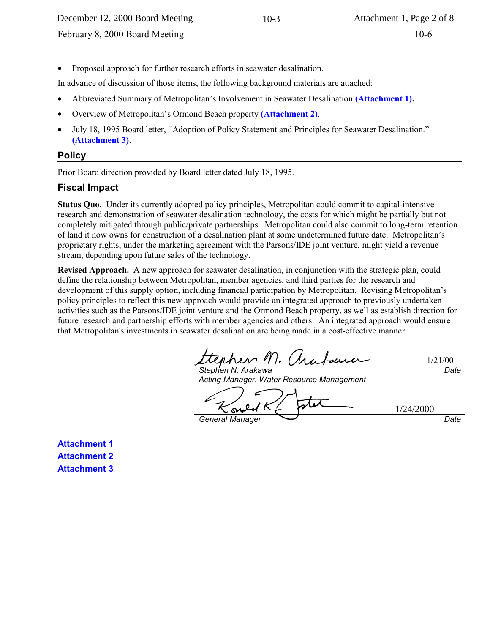• Proposed approach for further research efforts in seawater desalination.

In advance of discussion of those items, the following background materials are attached:

- Abbreviated Summary of Metropolitan's Involvement in Seawater Desalination **(Attachment 1).**
- Overview of Metropolitan's Ormond Beach property **(Attachment 2)**.
- July 18, 1995 Board letter, "Adoption of Policy Statement and Principles for Seawater Desalination." **(Attachment 3).**

#### **Policy**

Prior Board direction provided by Board letter dated July 18, 1995.

#### **Fiscal Impact**

**Status Quo.** Under its currently adopted policy principles, Metropolitan could commit to capital-intensive research and demonstration of seawater desalination technology, the costs for which might be partially but not completely mitigated through public/private partnerships. Metropolitan could also commit to long-term retention of land it now owns for construction of a desalination plant at some undetermined future date. Metropolitan's proprietary rights, under the marketing agreement with the Parsons/IDE joint venture, might yield a revenue stream, depending upon future sales of the technology.

**Revised Approach.** A new approach for seawater desalination, in conjunction with the strategic plan, could define the relationship between Metropolitan, member agencies, and third parties for the research and development of this supply option, including financial participation by Metropolitan. Revising Metropolitan's policy principles to reflect this new approach would provide an integrated approach to previously undertaken activities such as the Parsons/IDE joint venture and the Ormond Beach property, as well as establish direction for future research and partnership efforts with member agencies and others. An integrated approach would ensure that Metropolitan's investments in seawater desalination are being made in a cost-effective manner.

1/21/00 *Date*

*Stephen N. Arakawa Acting Manager, Water Resource Management*

1/24/2000

**General Manager**  $\qquad \qquad \longrightarrow$  Date

**Attachment 1 Attachment 2 Attachment 3**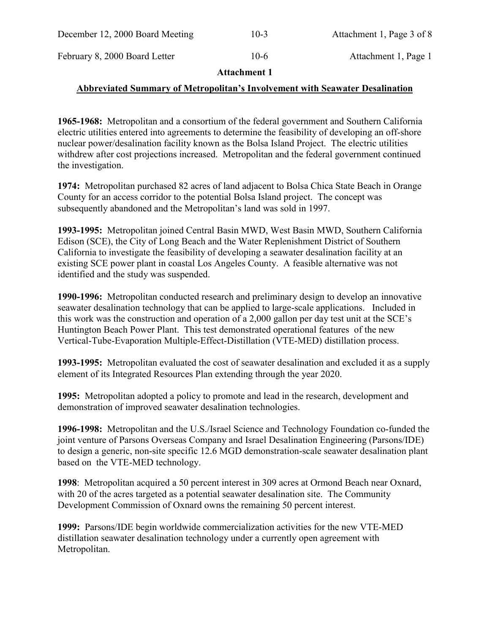| December 12, 2000 Board Meeting | $10-3$ | Attachment 1, Page 3 of 8 |
|---------------------------------|--------|---------------------------|
| February 8, 2000 Board Letter   | $10-6$ | Attachment 1, Page 1      |

### **Attachment 1**

### **Abbreviated Summary of Metropolitan's Involvement with Seawater Desalination**

**1965-1968:** Metropolitan and a consortium of the federal government and Southern California electric utilities entered into agreements to determine the feasibility of developing an off-shore nuclear power/desalination facility known as the Bolsa Island Project. The electric utilities withdrew after cost projections increased. Metropolitan and the federal government continued the investigation.

**1974:** Metropolitan purchased 82 acres of land adjacent to Bolsa Chica State Beach in Orange County for an access corridor to the potential Bolsa Island project. The concept was subsequently abandoned and the Metropolitan's land was sold in 1997.

**1993-1995:** Metropolitan joined Central Basin MWD, West Basin MWD, Southern California Edison (SCE), the City of Long Beach and the Water Replenishment District of Southern California to investigate the feasibility of developing a seawater desalination facility at an existing SCE power plant in coastal Los Angeles County. A feasible alternative was not identified and the study was suspended.

**1990-1996:** Metropolitan conducted research and preliminary design to develop an innovative seawater desalination technology that can be applied to large-scale applications. Included in this work was the construction and operation of a 2,000 gallon per day test unit at the SCE's Huntington Beach Power Plant. This test demonstrated operational features of the new Vertical-Tube-Evaporation Multiple-Effect-Distillation (VTE-MED) distillation process.

**1993-1995:** Metropolitan evaluated the cost of seawater desalination and excluded it as a supply element of its Integrated Resources Plan extending through the year 2020.

**1995:** Metropolitan adopted a policy to promote and lead in the research, development and demonstration of improved seawater desalination technologies.

**1996-1998:** Metropolitan and the U.S./Israel Science and Technology Foundation co-funded the joint venture of Parsons Overseas Company and Israel Desalination Engineering (Parsons/IDE) to design a generic, non-site specific 12.6 MGD demonstration-scale seawater desalination plant based on the VTE-MED technology.

**1998**: Metropolitan acquired a 50 percent interest in 309 acres at Ormond Beach near Oxnard, with 20 of the acres targeted as a potential seawater desalination site. The Community Development Commission of Oxnard owns the remaining 50 percent interest.

**1999:** Parsons/IDE begin worldwide commercialization activities for the new VTE-MED distillation seawater desalination technology under a currently open agreement with Metropolitan.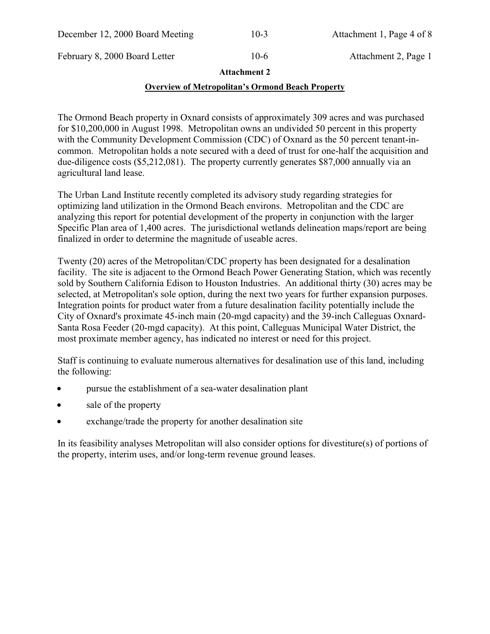| December 12, 2000 Board Meeting | $10-3$ | Attachment |
|---------------------------------|--------|------------|
|                                 |        |            |

February 8, 2000 Board Letter 10-6 Attachment 2, Page 1

1. Page 4 of 8

### **Attachment 2**

### **Overview of Metropolitan's Ormond Beach Property**

The Ormond Beach property in Oxnard consists of approximately 309 acres and was purchased for \$10,200,000 in August 1998. Metropolitan owns an undivided 50 percent in this property with the Community Development Commission (CDC) of Oxnard as the 50 percent tenant-incommon. Metropolitan holds a note secured with a deed of trust for one-half the acquisition and due-diligence costs (\$5,212,081). The property currently generates \$87,000 annually via an agricultural land lease.

The Urban Land Institute recently completed its advisory study regarding strategies for optimizing land utilization in the Ormond Beach environs. Metropolitan and the CDC are analyzing this report for potential development of the property in conjunction with the larger Specific Plan area of 1,400 acres. The jurisdictional wetlands delineation maps/report are being finalized in order to determine the magnitude of useable acres.

Twenty (20) acres of the Metropolitan/CDC property has been designated for a desalination facility. The site is adjacent to the Ormond Beach Power Generating Station, which was recently sold by Southern California Edison to Houston Industries. An additional thirty (30) acres may be selected, at Metropolitan's sole option, during the next two years for further expansion purposes. Integration points for product water from a future desalination facility potentially include the City of Oxnard's proximate 45-inch main (20-mgd capacity) and the 39-inch Calleguas Oxnard-Santa Rosa Feeder (20-mgd capacity). At this point, Calleguas Municipal Water District, the most proximate member agency, has indicated no interest or need for this project.

Staff is continuing to evaluate numerous alternatives for desalination use of this land, including the following:

- pursue the establishment of a sea-water desalination plant
- sale of the property
- exchange/trade the property for another desalination site

In its feasibility analyses Metropolitan will also consider options for divestiture(s) of portions of the property, interim uses, and/or long-term revenue ground leases.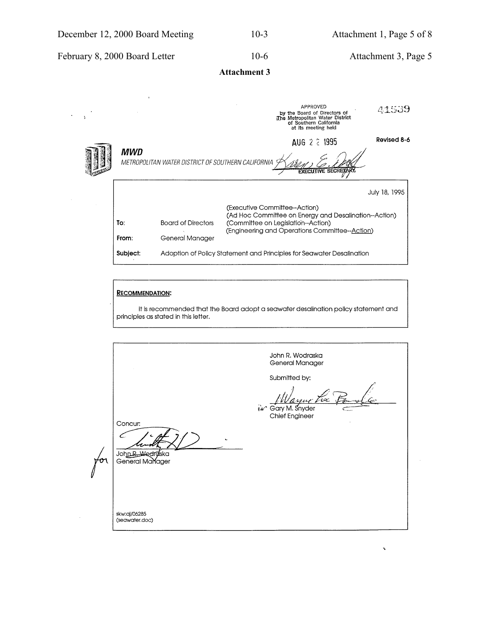Ä,

February 8, 2000 Board Letter 10-6 Attachment 3, Page 5

 $\overline{y}$ 

**Band** 

**Attachment 3**

|                                                                                  |                           | APPROVED<br>by the Board of Directors of<br>The Metropolitan Water District<br>of Southern California<br>at its meeting held | 41539         |  |  |
|----------------------------------------------------------------------------------|---------------------------|------------------------------------------------------------------------------------------------------------------------------|---------------|--|--|
| MWD                                                                              |                           | AUG 2 2 1995                                                                                                                 | Revised 8-6   |  |  |
| METROPOLITAN WATER DISTRICT OF SOUTHERN CALIFORNIA<br><b>EXECUTIVE SECRETARY</b> |                           |                                                                                                                              |               |  |  |
|                                                                                  |                           |                                                                                                                              | July 18, 1995 |  |  |
| To:                                                                              | <b>Board of Directors</b> | (Executive Committee--Action)<br>(Ad Hoc Committee on Energy and Desalination--Action)<br>(Committee on Legislation--Action) |               |  |  |
| From:                                                                            | General Manager           | (Engineering and Operations Committee--Action)                                                                               |               |  |  |
| Subject:                                                                         |                           | Adoption of Policy Statement and Principles for Seawater Desalination                                                        |               |  |  |

#### **RECOMMENDATION:**

It is recommended that the Board adopt a seawater desalination policy statement and principles as stated in this letter.

John R. Wodraska General Manager Submitted by: justice Ϋ́ Gary M. Snyder Chief Engineer Concur: ╭ John R. Wedraska ron skw:aj/06285 (seawater.doc)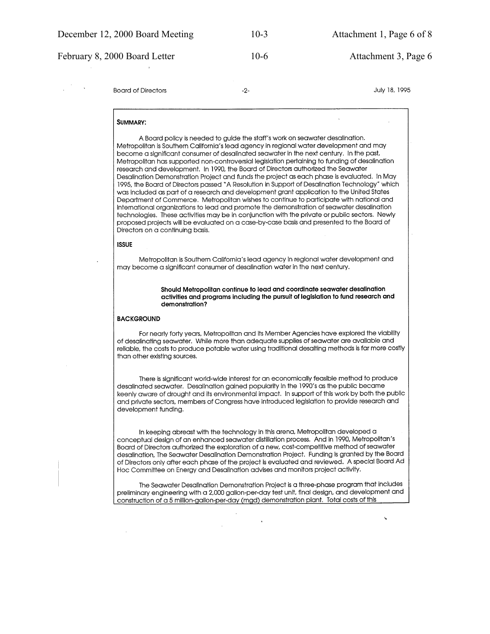February 8, 2000 Board Letter 10-6 10-6 Attachment 3, Page 6

 $-2-$ 

**Board of Directors** 

July 18, 1995

#### **SUMMARY:**

A Board policy is needed to auide the staff's work on seawater desalination. Metropolitan is Southern California's lead agency in regional water development and may become a significant consumer of desalinated seawater in the next century. In the past, Metropolitan has supported non-controversial legislation pertaining to funding of desalination research and development. In 1990, the Board of Directors authorized the Seawater Desalination Demonstration Project and funds the project as each phase is evaluated. In May 1995, the Board of Directors passed "A Resolution in Support of Desalination Technology" which was included as part of a research and development grant application to the United States Department of Commerce. Metropolitan wishes to continue to participate with national and international organizations to lead and promote the demonstration of seawater desalination technologies. These activities may be in conjunction with the private or public sectors. Newly proposed projects will be evaluated on a case-by-case basis and presented to the Board of Directors on a continuing basis.

#### **ISSUE**

Metropolitan is Southern California's lead agency in regional water development and may become a significant consumer of desalination water in the next century.

> Should Metropolitan continue to lead and coordinate seawater desalination activities and programs including the pursuit of legislation to fund research and demonstration?

#### **BACKGROUND**

 $\mathcal{L}$ 

For nearly forty years, Metropolitan and its Member Agencies have explored the viability of desalinating seawater. While more than adequate supplies of seawater are available and reliable, the costs to produce potable water using traditional desalting methods is far more costly than other existing sources.

There is significant world-wide interest for an economically feasible method to produce desalinated seawater. Desalination gained popularity in the 1990's as the public became keenly aware of drought and its environmental impact. In support of this work by both the public and private sectors, members of Congress have introduced legislation to provide research and development funding.

In keeping abreast with the technology in this arena, Metropolitan developed a conceptual design of an enhanced seawater distillation process. And in 1990, Metropolitan's Board of Directors authorized the exploration of a new, cost-competitive method of seawater desalination, The Seawater Desalination Demonstration Project. Funding is granted by the Board of Directors only after each phase of the project is evaluated and reviewed. A special Board Ad Hoc Committee on Energy and Desalination advises and monitors project activity.

The Seawater Desalination Demonstration Project is a three-phase program that includes preliminary engineering with a 2,000 gallon-per-day test unit, final design, and development and construction of a 5 million-gallon-per-day (mgd) demonstration plant. Total costs of this

 $\bullet$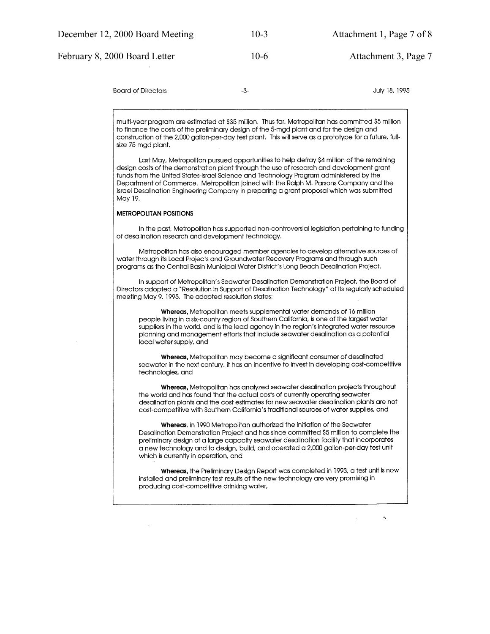February 8, 2000 Board Letter 10-6 Attachment 3, Page 7

**Board of Directors** 

July 18, 1995

multi-year program are estimated at \$35 million. Thus far, Metropolitan has committed \$5 million to finance the costs of the preliminary design of the 5-mad plant and for the design and construction of the 2,000 gallon-per-day test plant. This will serve as a prototype for a future, fullsize 75 mgd plant.

 $-3-$ 

Last May, Metropolitan pursued opportunities to help defray \$4 million of the remaining design costs of the demonstration plant through the use of research and development grant funds from the United States-Israel Science and Technology Program administered by the Department of Commerce. Metropolitan joined with the Ralph M. Parsons Company and the Israel Desalination Enaineering Company in preparing a grant proposal which was submitted May 19.

#### **METROPOLITAN POSITIONS**

In the past, Metropolitan has supported non-controversial legislation pertaining to funding of desalination research and development technology.

Metropolitan has also encouraged member agencies to develop alternative sources of water through its Local Projects and Groundwater Recovery Programs and through such programs as the Central Basin Municipal Water District's Long Beach Desalination Project.

In support of Metropolitan's Seawater Desalination Demonstration Project, the Board of Directors adopted a "Resolution in Support of Desalination Technology" at its regularly scheduled meeting May 9, 1995. The adopted resolution states:

Whereas, Metropolitan meets supplemental water demands of 16 million people living in a six-county region of Southern California, is one of the largest water suppliers in the world, and is the lead agency in the region's integrated water resource planning and management efforts that include seawater desalination as a potential local water supply, and

Whereas, Metropolitan may become a significant consumer of desalinated seawater in the next century, it has an incentive to invest in developing cost-competitive technologies, and

Whereas, Metropolitan has analyzed seawater desalination projects throughout the world and has found that the actual costs of currently operating seawater desalination plants and the cost estimates for new seawater desalination plants are not cost-competitive with Southern California's traditional sources of water supplies, and

Whereas, in 1990 Metropolitan authorized the initiation of the Seawater Desalination Demonstration Project and has since committed \$5 million to complete the preliminary design of a large capacity seawater desalination facility that incorporates a new technology and to design, build, and operated a 2,000 gallon-per-day test unit which is currently in operation, and

Whereas, the Preliminary Design Report was completed in 1993, a test unit is now installed and preliminary test results of the new technology are very promising in producing cost-competitive drinking water,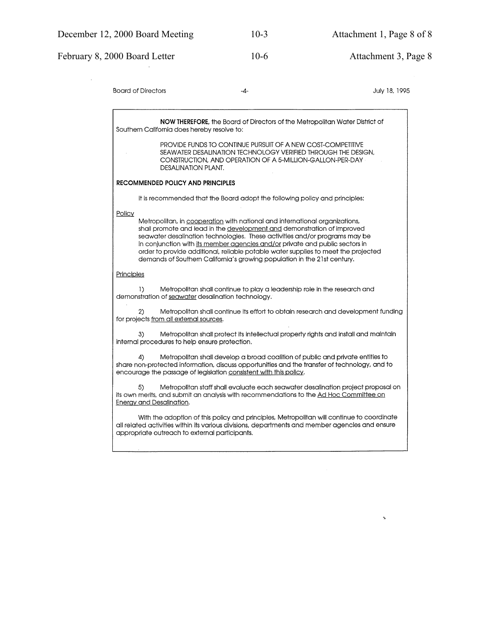#### February 8, 2000 Board Letter 10-6 Attachment 3, Page 8 **Board of Directors**  $-4-$ July 18, 1995 NOW THEREFORE, the Board of Directors of the Metropolitan Water District of Southern California does hereby resolve to: PROVIDE FUNDS TO CONTINUE PURSUIT OF A NEW COST-COMPETITIVE SEAWATER DESALINATION TECHNOLOGY VERIFIED THROUGH THE DESIGN. CONSTRUCTION, AND OPERATION OF A 5-MILLION-GALLON-PER-DAY DESALINATION PLANT. RECOMMENDED POLICY AND PRINCIPLES It is recommended that the Board adopt the following policy and principles: Policy Metropolitan, in cooperation with national and international organizations, shall promote and lead in the development and demonstration of improved seawater desalination technologies. These activities and/or programs may be in conjunction with its member agencies and/or private and public sectors in order to provide additional, reliable potable water supplies to meet the projected demands of Southern California's growing population in the 21st century. Principles Metropolitan shall continue to play a leadership role in the research and  $\overline{1}$ demonstration of seawater desalination technology.  $2)$ Metropolitan shall continue its effort to obtain research and development funding for projects from all external sources. Metropolitan shall protect its intellectual property rights and install and maintain  $3)$ internal procedures to help ensure protection.  $\Delta$ Metropolitan shall develop a broad coalition of public and private entities to share non-protected information, discuss opportunities and the transfer of technology, and to encourage the passage of legislation consistent with this policy. Metropolitan staff shall evaluate each seawater desalination project proposal on  $5)$ its own merits, and submit an analysis with recommendations to the Ad Hoc Committee on **Energy and Desalination.** With the adoption of this policy and principles, Metropolitan will continue to coordinate all related activities within its various divisions, departments and member agencies and ensure appropriate outreach to external participants.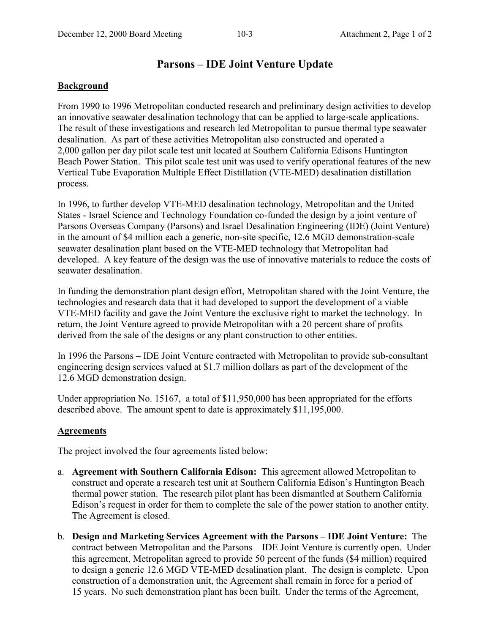## **Parsons – IDE Joint Venture Update**

### **Background**

From 1990 to 1996 Metropolitan conducted research and preliminary design activities to develop an innovative seawater desalination technology that can be applied to large-scale applications. The result of these investigations and research led Metropolitan to pursue thermal type seawater desalination. As part of these activities Metropolitan also constructed and operated a 2,000 gallon per day pilot scale test unit located at Southern California Edisons Huntington Beach Power Station. This pilot scale test unit was used to verify operational features of the new Vertical Tube Evaporation Multiple Effect Distillation (VTE-MED) desalination distillation process.

In 1996, to further develop VTE-MED desalination technology, Metropolitan and the United States - Israel Science and Technology Foundation co-funded the design by a joint venture of Parsons Overseas Company (Parsons) and Israel Desalination Engineering (IDE) (Joint Venture) in the amount of \$4 million each a generic, non-site specific, 12.6 MGD demonstration-scale seawater desalination plant based on the VTE-MED technology that Metropolitan had developed. A key feature of the design was the use of innovative materials to reduce the costs of seawater desalination.

In funding the demonstration plant design effort, Metropolitan shared with the Joint Venture, the technologies and research data that it had developed to support the development of a viable VTE-MED facility and gave the Joint Venture the exclusive right to market the technology. In return, the Joint Venture agreed to provide Metropolitan with a 20 percent share of profits derived from the sale of the designs or any plant construction to other entities.

In 1996 the Parsons – IDE Joint Venture contracted with Metropolitan to provide sub-consultant engineering design services valued at \$1.7 million dollars as part of the development of the 12.6 MGD demonstration design.

Under appropriation No. 15167, a total of \$11,950,000 has been appropriated for the efforts described above. The amount spent to date is approximately \$11,195,000.

### **Agreements**

The project involved the four agreements listed below:

- a. **Agreement with Southern California Edison:** This agreement allowed Metropolitan to construct and operate a research test unit at Southern California Edison's Huntington Beach thermal power station. The research pilot plant has been dismantled at Southern California Edison's request in order for them to complete the sale of the power station to another entity. The Agreement is closed.
- b. **Design and Marketing Services Agreement with the Parsons IDE Joint Venture:** The contract between Metropolitan and the Parsons – IDE Joint Venture is currently open. Under this agreement, Metropolitan agreed to provide 50 percent of the funds (\$4 million) required to design a generic 12.6 MGD VTE-MED desalination plant. The design is complete. Upon construction of a demonstration unit, the Agreement shall remain in force for a period of 15 years. No such demonstration plant has been built. Under the terms of the Agreement,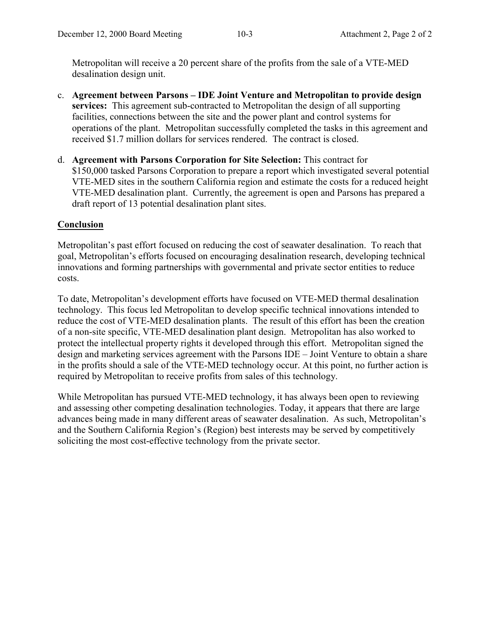Metropolitan will receive a 20 percent share of the profits from the sale of a VTE-MED desalination design unit.

- c. **Agreement between Parsons IDE Joint Venture and Metropolitan to provide design services:** This agreement sub-contracted to Metropolitan the design of all supporting facilities, connections between the site and the power plant and control systems for operations of the plant. Metropolitan successfully completed the tasks in this agreement and received \$1.7 million dollars for services rendered. The contract is closed.
- d. **Agreement with Parsons Corporation for Site Selection:** This contract for \$150,000 tasked Parsons Corporation to prepare a report which investigated several potential VTE-MED sites in the southern California region and estimate the costs for a reduced height VTE-MED desalination plant. Currently, the agreement is open and Parsons has prepared a draft report of 13 potential desalination plant sites.

### **Conclusion**

Metropolitan's past effort focused on reducing the cost of seawater desalination. To reach that goal, Metropolitan's efforts focused on encouraging desalination research, developing technical innovations and forming partnerships with governmental and private sector entities to reduce costs.

To date, Metropolitan's development efforts have focused on VTE-MED thermal desalination technology. This focus led Metropolitan to develop specific technical innovations intended to reduce the cost of VTE-MED desalination plants. The result of this effort has been the creation of a non-site specific, VTE-MED desalination plant design. Metropolitan has also worked to protect the intellectual property rights it developed through this effort. Metropolitan signed the design and marketing services agreement with the Parsons IDE – Joint Venture to obtain a share in the profits should a sale of the VTE-MED technology occur. At this point, no further action is required by Metropolitan to receive profits from sales of this technology.

While Metropolitan has pursued VTE-MED technology, it has always been open to reviewing and assessing other competing desalination technologies. Today, it appears that there are large advances being made in many different areas of seawater desalination. As such, Metropolitan's and the Southern California Region's (Region) best interests may be served by competitively soliciting the most cost-effective technology from the private sector.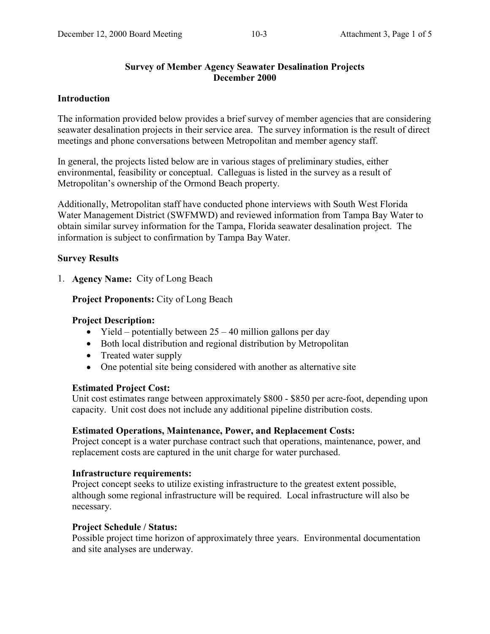### **Survey of Member Agency Seawater Desalination Projects December 2000**

### **Introduction**

The information provided below provides a brief survey of member agencies that are considering seawater desalination projects in their service area. The survey information is the result of direct meetings and phone conversations between Metropolitan and member agency staff.

In general, the projects listed below are in various stages of preliminary studies, either environmental, feasibility or conceptual. Calleguas is listed in the survey as a result of Metropolitan's ownership of the Ormond Beach property.

Additionally, Metropolitan staff have conducted phone interviews with South West Florida Water Management District (SWFMWD) and reviewed information from Tampa Bay Water to obtain similar survey information for the Tampa, Florida seawater desalination project. The information is subject to confirmation by Tampa Bay Water.

### **Survey Results**

1. **Agency Name:** City of Long Beach

### **Project Proponents:** City of Long Beach

#### **Project Description:**

- Yield potentially between  $25 40$  million gallons per day
- Both local distribution and regional distribution by Metropolitan
- Treated water supply
- One potential site being considered with another as alternative site

### **Estimated Project Cost:**

Unit cost estimates range between approximately \$800 - \$850 per acre-foot, depending upon capacity. Unit cost does not include any additional pipeline distribution costs.

### **Estimated Operations, Maintenance, Power, and Replacement Costs:**

Project concept is a water purchase contract such that operations, maintenance, power, and replacement costs are captured in the unit charge for water purchased.

#### **Infrastructure requirements:**

Project concept seeks to utilize existing infrastructure to the greatest extent possible, although some regional infrastructure will be required. Local infrastructure will also be necessary.

#### **Project Schedule / Status:**

Possible project time horizon of approximately three years. Environmental documentation and site analyses are underway.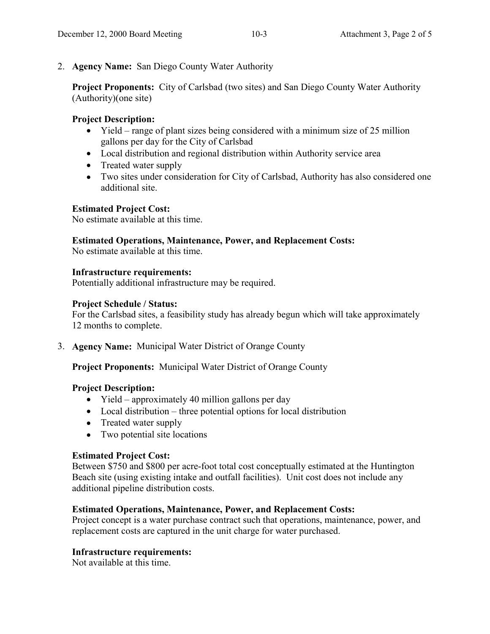### 2. **Agency Name:** San Diego County Water Authority

**Project Proponents:** City of Carlsbad (two sites) and San Diego County Water Authority (Authority)(one site)

### **Project Description:**

- Yield range of plant sizes being considered with a minimum size of 25 million gallons per day for the City of Carlsbad
- Local distribution and regional distribution within Authority service area
- Treated water supply
- Two sites under consideration for City of Carlsbad, Authority has also considered one additional site.

### **Estimated Project Cost:**

No estimate available at this time.

### **Estimated Operations, Maintenance, Power, and Replacement Costs:**

No estimate available at this time.

### **Infrastructure requirements:**

Potentially additional infrastructure may be required.

### **Project Schedule / Status:**

For the Carlsbad sites, a feasibility study has already begun which will take approximately 12 months to complete.

3. **Agency Name:** Municipal Water District of Orange County

**Project Proponents:** Municipal Water District of Orange County

## **Project Description:**

- Yield approximately 40 million gallons per day
- Local distribution three potential options for local distribution
- Treated water supply
- Two potential site locations

## **Estimated Project Cost:**

Between \$750 and \$800 per acre-foot total cost conceptually estimated at the Huntington Beach site (using existing intake and outfall facilities). Unit cost does not include any additional pipeline distribution costs.

### **Estimated Operations, Maintenance, Power, and Replacement Costs:**

Project concept is a water purchase contract such that operations, maintenance, power, and replacement costs are captured in the unit charge for water purchased.

## **Infrastructure requirements:**

Not available at this time.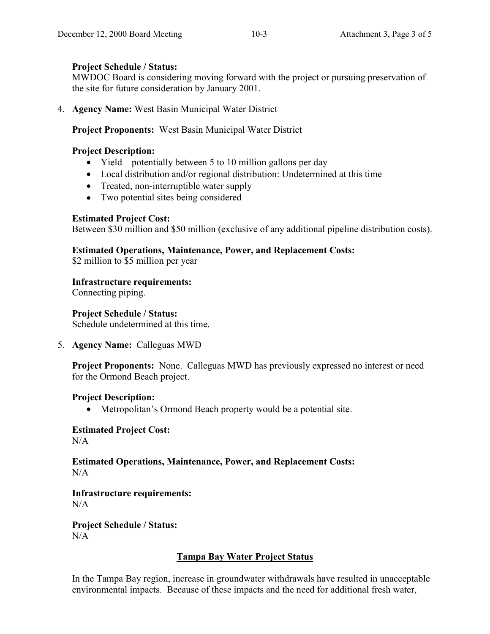### **Project Schedule / Status:**

MWDOC Board is considering moving forward with the project or pursuing preservation of the site for future consideration by January 2001.

4. **Agency Name:** West Basin Municipal Water District

**Project Proponents:** West Basin Municipal Water District

## **Project Description:**

- Yield potentially between 5 to 10 million gallons per day
- Local distribution and/or regional distribution: Undetermined at this time
- Treated, non-interruptible water supply
- Two potential sites being considered

### **Estimated Project Cost:**

Between \$30 million and \$50 million (exclusive of any additional pipeline distribution costs).

### **Estimated Operations, Maintenance, Power, and Replacement Costs:**

\$2 million to \$5 million per year

### **Infrastructure requirements:**

Connecting piping.

### **Project Schedule / Status:**

Schedule undetermined at this time.

5. **Agency Name:** Calleguas MWD

**Project Proponents:** None. Calleguas MWD has previously expressed no interest or need for the Ormond Beach project.

## **Project Description:**

• Metropolitan's Ormond Beach property would be a potential site.

# **Estimated Project Cost:**

 $N/A$ 

### **Estimated Operations, Maintenance, Power, and Replacement Costs:**  $N/A$

#### **Infrastructure requirements:**  $N/A$

**Project Schedule / Status:**  $N/A$ 

## **Tampa Bay Water Project Status**

In the Tampa Bay region, increase in groundwater withdrawals have resulted in unacceptable environmental impacts. Because of these impacts and the need for additional fresh water,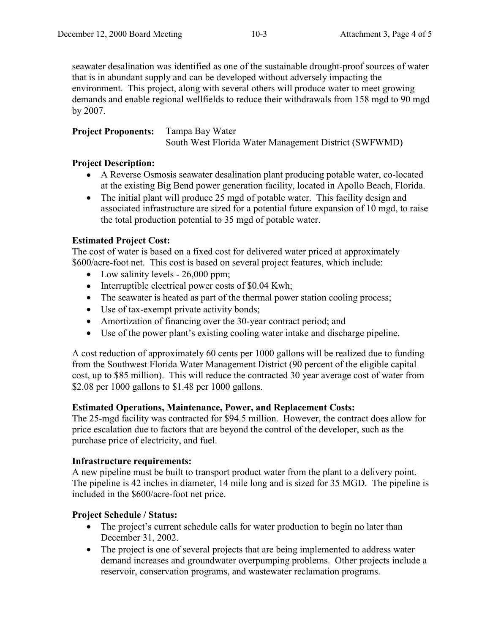seawater desalination was identified as one of the sustainable drought-proof sources of water that is in abundant supply and can be developed without adversely impacting the environment. This project, along with several others will produce water to meet growing demands and enable regional wellfields to reduce their withdrawals from 158 mgd to 90 mgd by 2007.

**Project Proponents:** Tampa Bay Water South West Florida Water Management District (SWFWMD)

### **Project Description:**

- A Reverse Osmosis seawater desalination plant producing potable water, co-located at the existing Big Bend power generation facility, located in Apollo Beach, Florida.
- The initial plant will produce 25 mgd of potable water. This facility design and associated infrastructure are sized for a potential future expansion of 10 mgd, to raise the total production potential to 35 mgd of potable water.

### **Estimated Project Cost:**

The cost of water is based on a fixed cost for delivered water priced at approximately \$600/acre-foot net. This cost is based on several project features, which include:

- Low salinity levels 26,000 ppm;
- Interruptible electrical power costs of \$0.04 Kwh;
- The seawater is heated as part of the thermal power station cooling process;
- Use of tax-exempt private activity bonds;
- Amortization of financing over the 30-year contract period; and
- Use of the power plant's existing cooling water intake and discharge pipeline.

A cost reduction of approximately 60 cents per 1000 gallons will be realized due to funding from the Southwest Florida Water Management District (90 percent of the eligible capital cost, up to \$85 million). This will reduce the contracted 30 year average cost of water from \$2.08 per 1000 gallons to \$1.48 per 1000 gallons.

### **Estimated Operations, Maintenance, Power, and Replacement Costs:**

The 25-mgd facility was contracted for \$94.5 million. However, the contract does allow for price escalation due to factors that are beyond the control of the developer, such as the purchase price of electricity, and fuel.

### **Infrastructure requirements:**

A new pipeline must be built to transport product water from the plant to a delivery point. The pipeline is 42 inches in diameter, 14 mile long and is sized for 35 MGD. The pipeline is included in the \$600/acre-foot net price.

### **Project Schedule / Status:**

- The project's current schedule calls for water production to begin no later than December 31, 2002.
- The project is one of several projects that are being implemented to address water demand increases and groundwater overpumping problems. Other projects include a reservoir, conservation programs, and wastewater reclamation programs.